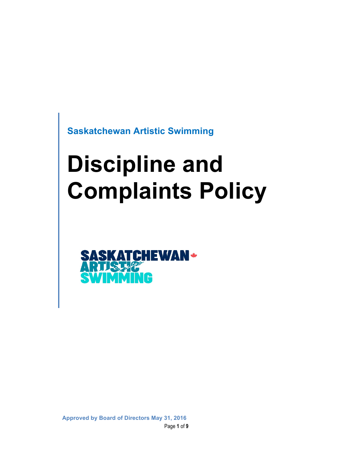**Saskatchewan Artistic Swimming**

# **Discipline and Complaints Policy**

**TCHEWAN+ RUFF** n y p Ŧ

Page **1** of **9 Approved by Board of Directors May 31, 2016**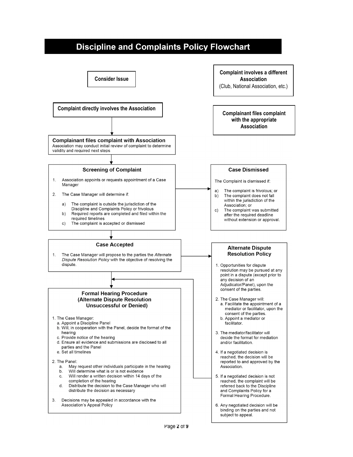# **Discipline and Complaints Policy Flowchart**

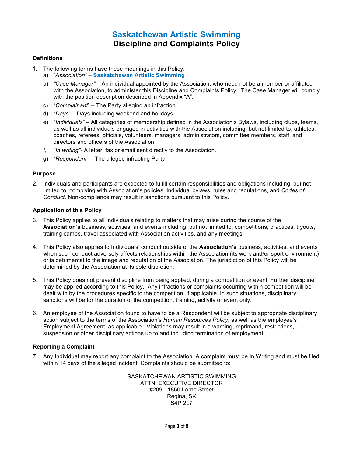# **Saskatchewan Artistic Swimming Discipline and Complaints Policy**

#### **Definitions**

- 1. The following terms have these meanings in this Policy:
	- a) "*Association"* **Saskatchewan Artistic Swimming**
	- b) *"Case Manager"* An individual appointed by the Association, who need not be a member or affiliated with the Association, to administer this Discipline and Complaints Policy. The Case Manager will comply with the position description described in Appendix "A".
	- c) "*Complainant*" The Party alleging an infraction
	- d) "*Days*" Days including weekend and holidays
	- e) "*Individuals"* All categories of membership defined in the Association's Bylaws, including clubs, teams, as well as all individuals engaged in activities with the Association including, but not limited to, athletes, coaches, referees, officials, volunteers, managers, administrators, committee members, staff, and directors and officers of the Association
	- *f) "In writing"* A letter, fax or email sent directly to the Association.
	- g) "*Respondent*" The alleged infracting Party

#### **Purpose**

2. Individuals and participants are expected to fulfill certain responsibilities and obligations including, but not limited to, complying with Association's policies, Individual bylaws, rules and regulations, and *Codes of Conduct*. Non-compliance may result in sanctions pursuant to this Policy.

#### **Application of this Policy**

- 3. This Policy applies to all Individuals relating to matters that may arise during the course of the **Association's** business, activities, and events including, but not limited to, competitions, practices, tryouts, training camps, travel associated with Association activities, and any meetings.
- 4. This Policy also applies to Individuals' conduct outside of the **Association's** business, activities, and events when such conduct adversely affects relationships within the Association (its work and/or sport environment) or is detrimental to the image and reputation of the Association. The jurisdiction of this Policy will be determined by the Association at its sole discretion.
- 5. This Policy does not prevent discipline from being applied, during a competition or event. Further discipline may be applied according to this Policy. Any infractions or complaints occurring within competition will be dealt with by the procedures specific to the competition, if applicable. In such situations, disciplinary sanctions will be for the duration of the competition, training, activity or event only.
- 6. An employee of the Association found to have to be a Respondent will be subject to appropriate disciplinary action subject to the terms of the Association's *Human Resources Policy*, as well as the employee's Employment Agreement, as applicable. Violations may result in a warning, reprimand, restrictions, suspension or other disciplinary actions up to and including termination of employment.

#### **Reporting a Complaint**

7. Any Individual may report any complaint to the Association. A complaint must be In Writing and must be filed within 14 days of the alleged incident. Complaints should be submitted to:

> SASKATCHEWAN ARTISTIC SWIMMING ATTN: EXECUTIVE DIRECTOR #209 - 1860 Lorne Street Regina, SK S4P 2L7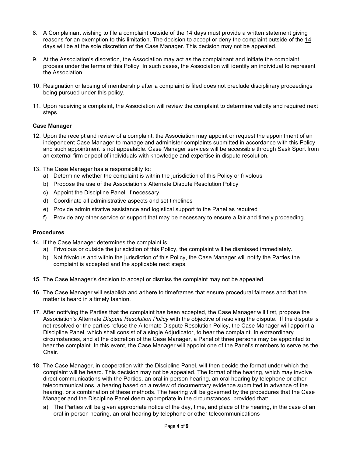- 8. A Complainant wishing to file a complaint outside of the 14 days must provide a written statement giving reasons for an exemption to this limitation. The decision to accept or deny the complaint outside of the 14 days will be at the sole discretion of the Case Manager. This decision may not be appealed.
- 9. At the Association's discretion, the Association may act as the complainant and initiate the complaint process under the terms of this Policy. In such cases, the Association will identify an individual to represent the Association.
- 10. Resignation or lapsing of membership after a complaint is filed does not preclude disciplinary proceedings being pursued under this policy.
- 11. Upon receiving a complaint, the Association will review the complaint to determine validity and required next steps.

#### **Case Manager**

- 12. Upon the receipt and review of a complaint, the Association may appoint or request the appointment of an independent Case Manager to manage and administer complaints submitted in accordance with this Policy and such appointment is not appealable. Case Manager services will be accessible through Sask Sport from an external firm or pool of individuals with knowledge and expertise in dispute resolution.
- 13. The Case Manager has a responsibility to:
	- a) Determine whether the complaint is within the jurisdiction of this Policy or frivolous
	- b) Propose the use of the Association's Alternate Dispute Resolution Policy
	- c) Appoint the Discipline Panel, if necessary
	- d) Coordinate all administrative aspects and set timelines
	- e) Provide administrative assistance and logistical support to the Panel as required
	- f) Provide any other service or support that may be necessary to ensure a fair and timely proceeding.

#### **Procedures**

- 14. If the Case Manager determines the complaint is:
	- a) Frivolous or outside the jurisdiction of this Policy, the complaint will be dismissed immediately.
	- b) Not frivolous and within the jurisdiction of this Policy, the Case Manager will notify the Parties the complaint is accepted and the applicable next steps.
- 15. The Case Manager's decision to accept or dismiss the complaint may not be appealed.
- 16. The Case Manager will establish and adhere to timeframes that ensure procedural fairness and that the matter is heard in a timely fashion.
- 17. After notifying the Parties that the complaint has been accepted, the Case Manager will first, propose the Association's Alternate *Dispute Resolution Policy* with the objective of resolving the dispute. If the dispute is not resolved or the parties refuse the Alternate Dispute Resolution Policy, the Case Manager will appoint a Discipline Panel, which shall consist of a single Adjudicator, to hear the complaint. In extraordinary circumstances, and at the discretion of the Case Manager, a Panel of three persons may be appointed to hear the complaint. In this event, the Case Manager will appoint one of the Panel's members to serve as the Chair.
- 18. The Case Manager, in cooperation with the Discipline Panel, will then decide the format under which the complaint will be heard. This decision may not be appealed. The format of the hearing, which may involve direct communications with the Parties, an oral in-person hearing, an oral hearing by telephone or other telecommunications, a hearing based on a review of documentary evidence submitted in advance of the hearing, or a combination of these methods. The hearing will be governed by the procedures that the Case Manager and the Discipline Panel deem appropriate in the circumstances, provided that:
	- a) The Parties will be given appropriate notice of the day, time, and place of the hearing, in the case of an oral in-person hearing, an oral hearing by telephone or other telecommunications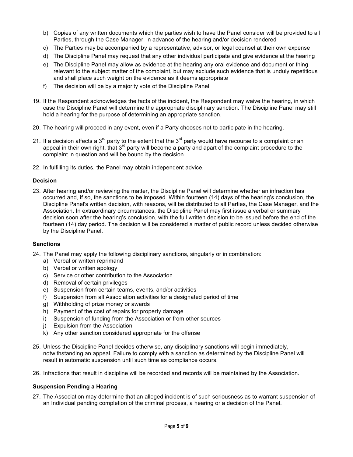- b) Copies of any written documents which the parties wish to have the Panel consider will be provided to all Parties, through the Case Manager, in advance of the hearing and/or decision rendered
- c) The Parties may be accompanied by a representative, advisor, or legal counsel at their own expense
- d) The Discipline Panel may request that any other individual participate and give evidence at the hearing
- e) The Discipline Panel may allow as evidence at the hearing any oral evidence and document or thing relevant to the subject matter of the complaint, but may exclude such evidence that is unduly repetitious and shall place such weight on the evidence as it deems appropriate
- f) The decision will be by a majority vote of the Discipline Panel
- 19. If the Respondent acknowledges the facts of the incident, the Respondent may waive the hearing, in which case the Discipline Panel will determine the appropriate disciplinary sanction. The Discipline Panel may still hold a hearing for the purpose of determining an appropriate sanction.
- 20. The hearing will proceed in any event, even if a Party chooses not to participate in the hearing.
- 21. If a decision affects a  $3^{rd}$  party to the extent that the  $3^{rd}$  party would have recourse to a complaint or an appeal in their own right, that  $3^{rd}$  party will become a party and apart of the complaint procedure to the complaint in question and will be bound by the decision.
- 22. In fulfilling its duties, the Panel may obtain independent advice.

#### **Decision**

23. After hearing and/or reviewing the matter, the Discipline Panel will determine whether an infraction has occurred and, if so, the sanctions to be imposed. Within fourteen (14) days of the hearing's conclusion, the Discipline Panel's written decision, with reasons, will be distributed to all Parties, the Case Manager, and the Association. In extraordinary circumstances, the Discipline Panel may first issue a verbal or summary decision soon after the hearing's conclusion, with the full written decision to be issued before the end of the fourteen (14) day period. The decision will be considered a matter of public record unless decided otherwise by the Discipline Panel.

#### **Sanctions**

- 24. The Panel may apply the following disciplinary sanctions, singularly or in combination:
	- a) Verbal or written reprimand
	- b) Verbal or written apology
	- c) Service or other contribution to the Association
	- d) Removal of certain privileges
	- e) Suspension from certain teams, events, and/or activities
	- f) Suspension from all Association activities for a designated period of time
	- g) Withholding of prize money or awards
	- h) Payment of the cost of repairs for property damage
	- i) Suspension of funding from the Association or from other sources
	- j) Expulsion from the Association
	- k) Any other sanction considered appropriate for the offense
- 25. Unless the Discipline Panel decides otherwise, any disciplinary sanctions will begin immediately, notwithstanding an appeal. Failure to comply with a sanction as determined by the Discipline Panel will result in automatic suspension until such time as compliance occurs.
- 26. Infractions that result in discipline will be recorded and records will be maintained by the Association.

#### **Suspension Pending a Hearing**

27. The Association may determine that an alleged incident is of such seriousness as to warrant suspension of an Individual pending completion of the criminal process, a hearing or a decision of the Panel.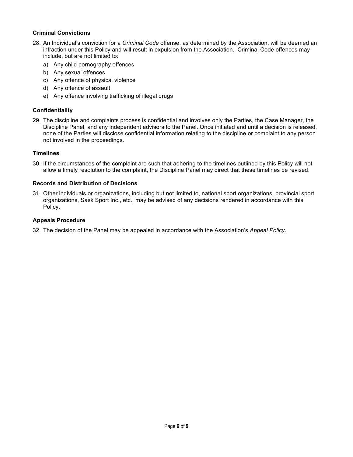#### **Criminal Convictions**

- 28. An Individual's conviction for a *Criminal Code* offense, as determined by the Association, will be deemed an infraction under this Policy and will result in expulsion from the Association. Criminal Code offences may include, but are not limited to:
	- a) Any child pornography offences
	- b) Any sexual offences
	- c) Any offence of physical violence
	- d) Any offence of assault
	- e) Any offence involving trafficking of illegal drugs

#### **Confidentiality**

29. The discipline and complaints process is confidential and involves only the Parties, the Case Manager, the Discipline Panel, and any independent advisors to the Panel. Once initiated and until a decision is released, none of the Parties will disclose confidential information relating to the discipline or complaint to any person not involved in the proceedings.

#### **Timelines**

30. If the circumstances of the complaint are such that adhering to the timelines outlined by this Policy will not allow a timely resolution to the complaint, the Discipline Panel may direct that these timelines be revised.

#### **Records and Distribution of Decisions**

31. Other individuals or organizations, including but not limited to, national sport organizations, provincial sport organizations, Sask Sport Inc., etc., may be advised of any decisions rendered in accordance with this Policy.

#### **Appeals Procedure**

32. The decision of the Panel may be appealed in accordance with the Association's *Appeal Policy*.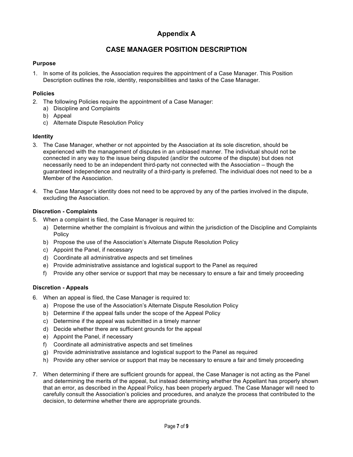## **Appendix A**

### **CASE MANAGER POSITION DESCRIPTION**

#### **Purpose**

1. In some of its policies, the Association requires the appointment of a Case Manager. This Position Description outlines the role, identity, responsibilities and tasks of the Case Manager.

#### **Policies**

- 2. The following Policies require the appointment of a Case Manager:
	- a) Discipline and Complaints
	- b) Appeal
	- c) Alternate Dispute Resolution Policy

#### **Identity**

- 3. The Case Manager, whether or not appointed by the Association at its sole discretion, should be experienced with the management of disputes in an unbiased manner. The individual should not be connected in any way to the issue being disputed (and/or the outcome of the dispute) but does not necessarily need to be an independent third-party not connected with the Association – though the guaranteed independence and neutrality of a third-party is preferred. The individual does not need to be a Member of the Association.
- 4. The Case Manager's identity does not need to be approved by any of the parties involved in the dispute, excluding the Association.

#### **Discretion - Complaints**

- 5. When a complaint is filed, the Case Manager is required to:
	- a) Determine whether the complaint is frivolous and within the jurisdiction of the Discipline and Complaints Policy
	- b) Propose the use of the Association's Alternate Dispute Resolution Policy
	- c) Appoint the Panel, if necessary
	- d) Coordinate all administrative aspects and set timelines
	- e) Provide administrative assistance and logistical support to the Panel as required
	- f) Provide any other service or support that may be necessary to ensure a fair and timely proceeding

#### **Discretion - Appeals**

- 6. When an appeal is filed, the Case Manager is required to:
	- a) Propose the use of the Association's Alternate Dispute Resolution Policy
	- b) Determine if the appeal falls under the scope of the Appeal Policy
	- c) Determine if the appeal was submitted in a timely manner
	- d) Decide whether there are sufficient grounds for the appeal
	- e) Appoint the Panel, if necessary
	- f) Coordinate all administrative aspects and set timelines
	- g) Provide administrative assistance and logistical support to the Panel as required
	- h) Provide any other service or support that may be necessary to ensure a fair and timely proceeding
- 7. When determining if there are sufficient grounds for appeal, the Case Manager is not acting as the Panel and determining the merits of the appeal, but instead determining whether the Appellant has properly shown that an error, as described in the Appeal Policy, has been properly argued. The Case Manager will need to carefully consult the Association's policies and procedures, and analyze the process that contributed to the decision, to determine whether there are appropriate grounds.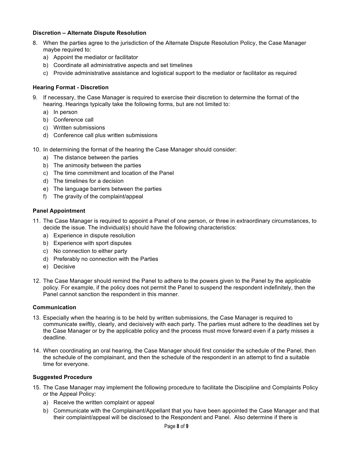#### **Discretion – Alternate Dispute Resolution**

- 8. When the parties agree to the jurisdiction of the Alternate Dispute Resolution Policy, the Case Manager maybe required to:
	- a) Appoint the mediator or facilitator
	- b) Coordinate all administrative aspects and set timelines
	- c) Provide administrative assistance and logistical support to the mediator or facilitator as required

#### **Hearing Format - Discretion**

- 9. If necessary, the Case Manager is required to exercise their discretion to determine the format of the hearing. Hearings typically take the following forms, but are not limited to:
	- a) In person
	- b) Conference call
	- c) Written submissions
	- d) Conference call plus written submissions
- 10. In determining the format of the hearing the Case Manager should consider:
	- a) The distance between the parties
	- b) The animosity between the parties
	- c) The time commitment and location of the Panel
	- d) The timelines for a decision
	- e) The language barriers between the parties
	- f) The gravity of the complaint/appeal

#### **Panel Appointment**

- 11. The Case Manager is required to appoint a Panel of one person, or three in extraordinary circumstances, to decide the issue. The individual(s) should have the following characteristics:
	- a) Experience in dispute resolution
	- b) Experience with sport disputes
	- c) No connection to either party
	- d) Preferably no connection with the Parties
	- e) Decisive
- 12. The Case Manager should remind the Panel to adhere to the powers given to the Panel by the applicable policy. For example, if the policy does not permit the Panel to suspend the respondent indefinitely, then the Panel cannot sanction the respondent in this manner.

#### **Communication**

- 13. Especially when the hearing is to be held by written submissions, the Case Manager is required to communicate swiftly, clearly, and decisively with each party. The parties must adhere to the deadlines set by the Case Manager or by the applicable policy and the process must move forward even if a party misses a deadline.
- 14. When coordinating an oral hearing, the Case Manager should first consider the schedule of the Panel, then the schedule of the complainant, and then the schedule of the respondent in an attempt to find a suitable time for everyone.

#### **Suggested Procedure**

- 15. The Case Manager may implement the following procedure to facilitate the Discipline and Complaints Policy or the Appeal Policy:
	- a) Receive the written complaint or appeal
	- b) Communicate with the Complainant/Appellant that you have been appointed the Case Manager and that their complaint/appeal will be disclosed to the Respondent and Panel. Also determine if there is